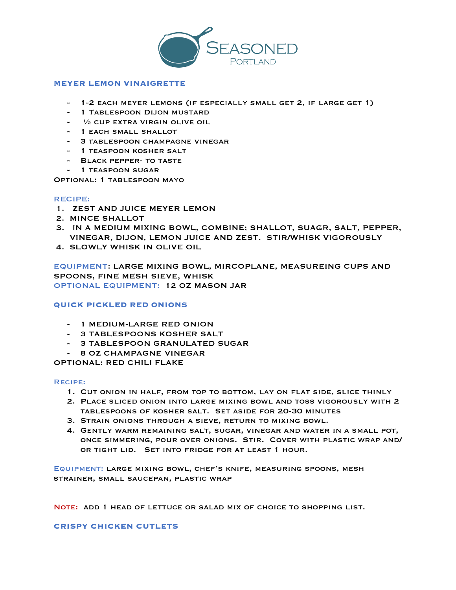

## **MEYER LEMON VINAIGRETTE**

- 1-2 EACH MEYER LEMONS (IF ESPECIALLY SMALL GET 2, IF LARGE GET 1)
- 1 Tablespoon Dijon mustard
- 1/2 CUP EXTRA VIRGIN OLIVE OIL
- 1 EACH SMALL SHALLOT
- 3 tablespoon champagne vinegar
- 1 teaspoon kosher salt
- BLACK PEPPER- TO TASTE
- 1 TEASPOON SUGAR

Optional: 1 tablespoon mayo

## RECIPE:

- 1. ZEST AND JUICE MEYER LEMON
- 2. MINCE SHALLOT
- 3. IN A MEDIUM MIXING BOWL, COMBINE; SHALLOT, SUAGR, SALT, PEPPER, VINEGAR, DIJON, LEMON JUICE AND ZEST. STIR/WHISK VIGOROUSLY
- 4. SLOWLY WHISK IN OLIVE OIL

EQUIPMENT: LARGE MIXING BOWL, MIRCOPLANE, MEASUREING CUPS AND SPOONS, FINE MESH SIEVE, WHISK OPTIONAL EQUIPMENT: 12 OZ MASON JAR

## **QUICK PICKLED RED ONIONS**

- 1 MEDIUM-LARGE RED ONION
- 3 TABLESPOONS KOSHER SALT
- 3 TABLESPOON GRANULATED SUGAR
- 8 OZ CHAMPAGNE VINEGAR

OPTIONAL: RED CHILI FLAKE

## Recipe:

- 1. Cut onion in half, from top to bottom, lay on flat side, slice thinly
- 2. Place sliced onion into large mixing bowl and toss vigorously with 2 tablespoons of kosher salt. Set aside for 20-30 minutes
- 3. Strain onions through a sieve, return to mixing bowl.
- 4. Gently warm remaining salt, sugar, vinegar and water in a small pot, once simmering, pour over onions. Stir. Cover with plastic wrap and/ or tight lid. Set into fridge for at least 1 hour.

Equipment: large mixing bowl, chef's knife, measuring spoons, mesh strainer, small saucepan, plastic wrap

Note: add 1 head of lettuce or salad mix of choice to shopping list.

**CRISPY CHICKEN CUTLETS**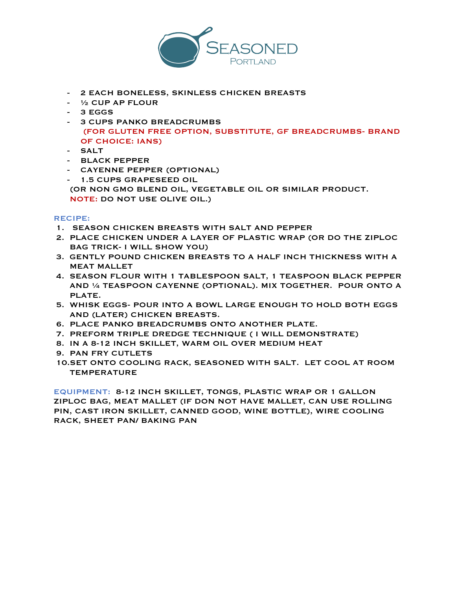

- 2 EACH BONELESS, SKINLESS CHICKEN BREASTS
- ½ CUP AP FLOUR
- 3 EGGS
- 3 CUPS PANKO BREADCRUMBS (FOR GLUTEN FREE OPTION, SUBSTITUTE, GF BREADCRUMBS- BRAND OF CHOICE: IANS)
- SALT
- BLACK PEPPER
- CAYENNE PEPPER (OPTIONAL)
- 1.5 CUPS GRAPESEED OIL

 (OR NON GMO BLEND OIL, VEGETABLE OIL OR SIMILAR PRODUCT. NOTE: DO NOT USE OLIVE OIL.)

# RECIPE:

- 1. SEASON CHICKEN BREASTS WITH SALT AND PEPPER
- 2. PLACE CHICKEN UNDER A LAYER OF PLASTIC WRAP (OR DO THE ZIPLOC BAG TRICK- I WILL SHOW YOU)
- 3. GENTLY POUND CHICKEN BREASTS TO A HALF INCH THICKNESS WITH A MEAT MALLET
- 4. SEASON FLOUR WITH 1 TABLESPOON SALT, 1 TEASPOON BLACK PEPPER AND ¼ TEASPOON CAYENNE (OPTIONAL). MIX TOGETHER. POUR ONTO A PLATE.
- 5. WHISK EGGS- POUR INTO A BOWL LARGE ENOUGH TO HOLD BOTH EGGS AND (LATER) CHICKEN BREASTS.
- 6. PLACE PANKO BREADCRUMBS ONTO ANOTHER PLATE.
- 7. PREFORM TRIPLE DREDGE TECHNIQUE ( I WILL DEMONSTRATE)
- 8. IN A 8-12 INCH SKILLET, WARM OIL OVER MEDIUM HEAT
- 9. PAN FRY CUTLETS
- 10.SET ONTO COOLING RACK, SEASONED WITH SALT. LET COOL AT ROOM TEMPERATURE

EQUIPMENT: 8-12 INCH SKILLET, TONGS, PLASTIC WRAP OR 1 GALLON ZIPLOC BAG, MEAT MALLET (IF DON NOT HAVE MALLET, CAN USE ROLLING PIN, CAST IRON SKILLET, CANNED GOOD, WINE BOTTLE), WIRE COOLING RACK, SHEET PAN/ BAKING PAN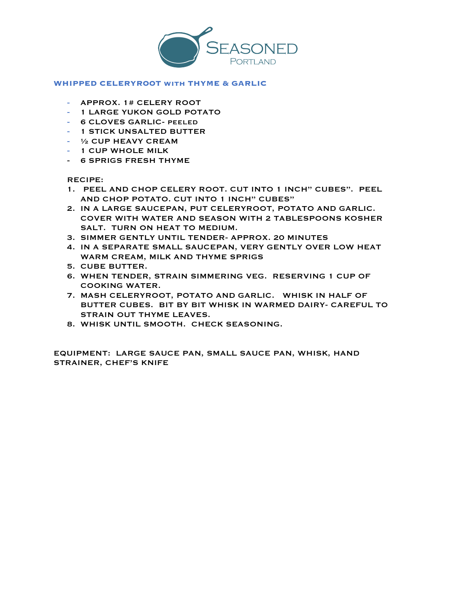

#### **WHIPPED CELERYROOT with THYME & GARLIC**

- APPROX. 1# CELERY ROOT
- 1 LARGE YUKON GOLD POTATO
- 6 CLOVES GARLIC- peeled
- 1 STICK UNSALTED BUTTER
- ½ CUP HEAVY CREAM
- 1 CUP WHOLE MILK
- 6 SPRIGS FRESH THYME

RECIPE:

- 1. PEEL AND CHOP CELERY ROOT. CUT INTO 1 INCH" CUBES". PEEL AND CHOP POTATO. CUT INTO 1 INCH" CUBES"
- 2. IN A LARGE SAUCEPAN, PUT CELERYROOT, POTATO AND GARLIC. COVER WITH WATER AND SEASON WITH 2 TABLESPOONS KOSHER SALT. TURN ON HEAT TO MEDIUM.
- 3. SIMMER GENTLY UNTIL TENDER- APPROX. 20 MINUTES
- 4. IN A SEPARATE SMALL SAUCEPAN, VERY GENTLY OVER LOW HEAT WARM CREAM, MILK AND THYME SPRIGS
- 5. CUBE BUTTER.
- 6. WHEN TENDER, STRAIN SIMMERING VEG. RESERVING 1 CUP OF COOKING WATER.
- 7. MASH CELERYROOT, POTATO AND GARLIC. WHISK IN HALF OF BUTTER CUBES. BIT BY BIT WHISK IN WARMED DAIRY- CAREFUL TO STRAIN OUT THYME LEAVES.
- 8. WHISK UNTIL SMOOTH. CHECK SEASONING.

EQUIPMENT: LARGE SAUCE PAN, SMALL SAUCE PAN, WHISK, HAND STRAINER, CHEF'S KNIFE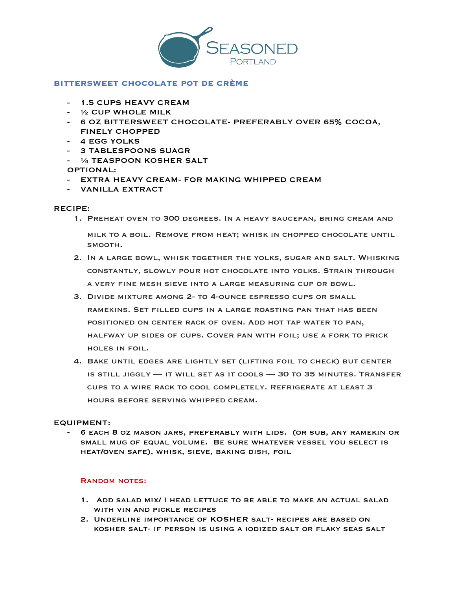

## **BITTERSWEET CHOCOLATE POT DE CRÈME**

- 1.5 CUPS HEAVY CREAM
- ½ CUP WHOLE MILK
- 6 OZ BITTERSWEET CHOCOLATE- PREFERABLY OVER 65% COCOA, FINELY CHOPPED
- 4 EGG YOLKS
- 3 TABLESPOONS SUAGR
- ¼ TEASPOON KOSHER SALT
- OPTIONAL:
- EXTRA HEAVY CREAM- FOR MAKING WHIPPED CREAM
- VANILLA EXTRACT

## RECIPE:

- 1. Preheat oven to 300 degrees. In a heavy saucepan, bring cream and milk to a boil. Remove from heat; whisk in chopped chocolate until smooth.
- 2. In a large bowl, whisk together the yolks, sugar and salt. Whisking constantly, slowly pour hot chocolate into yolks. Strain through a very fine mesh sieve into a large measuring cup or bowl.
- 3. Divide mixture among 2- to 4-ounce espresso cups or small ramekins. Set filled cups in a large roasting pan that has been positioned on center rack of oven. Add hot tap water to pan, halfway up sides of cups. Cover pan with foil; use a fork to prick holes in foil.
- 4. Bake until edges are lightly set (lifting foil to check) but center is still jiggly — it will set as it cools — 30 to 35 minutes. Transfer cups to a wire rack to cool completely. Refrigerate at least 3 hours before serving whipped cream.

# EQUIPMENT:

- 6 each 8 oz mason jars, preferably with lids. (or sub, any ramekin or small mug of equal volume. Be sure whatever vessel you select is heat/oven safe), whisk, sieve, baking dish, foil

# Random notes:

- 1. Add salad mix/ I head lettuce to be able to make an actual salad WITH VIN AND PICKLE RECIPES
- 2. Underline importance of KOSHER salt- recipes are based on kosher salt- if person is using a iodized salt or flaky seas salt